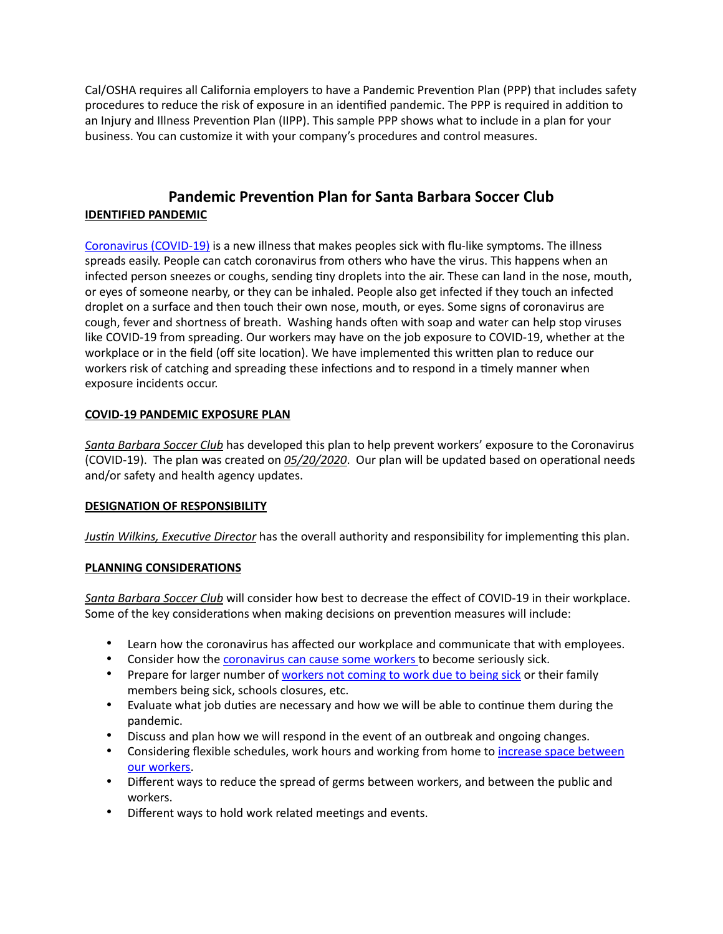Cal/OSHA requires all California employers to have a Pandemic Prevention Plan (PPP) that includes safety procedures to reduce the risk of exposure in an identified pandemic. The PPP is required in addition to an Injury and Illness Prevention Plan (IIPP). This sample PPP shows what to include in a plan for your business. You can customize it with your company's procedures and control measures.

# **Pandemic Prevention Plan for Santa Barbara Soccer Club IDENTIFIED PANDEMIC**

[Coronavirus \(COVID-19\)](https://www.who.int/docs/default-source/inaugural-who-partners-forum/coronavirus-poster-english-srilanka.pdf?sfvrsn=289dedc3_0) is a new illness that makes peoples sick with flu-like symptoms. The illness spreads easily. People can catch coronavirus from others who have the virus. This happens when an infected person sneezes or coughs, sending tiny droplets into the air. These can land in the nose, mouth, or eyes of someone nearby, or they can be inhaled. People also get infected if they touch an infected droplet on a surface and then touch their own nose, mouth, or eyes. Some signs of coronavirus are cough, fever and shortness of breath. Washing hands often with soap and water can help stop viruses like COVID-19 from spreading. Our workers may have on the job exposure to COVID-19, whether at the workplace or in the field (off site location). We have implemented this written plan to reduce our workers risk of catching and spreading these infections and to respond in a timely manner when exposure incidents occur.

# **COVID-19 PANDEMIC EXPOSURE PLAN**

*Santa Barbara Soccer Club* has developed this plan to help prevent workers' exposure to the Coronavirus (COVID-19). The plan was created on  $0.05/20/2020$ . Our plan will be updated based on operational needs and/or safety and health agency updates.

#### **DESIGNATION OF RESPONSIBILITY**

*Justin Wilkins, Executive Director* has the overall authority and responsibility for implementing this plan.

#### **PLANNING CONSIDERATIONS**

*Santa Barbara Soccer Club* will consider how best to decrease the effect of COVID-19 in their workplace. Some of the key considerations when making decisions on prevention measures will include:

- Learn how the coronavirus has affected our workplace and communicate that with employees.
- Consider how the [coronavirus can cause some workers](https://www.cdc.gov/coronavirus/2019-ncov/downloads/COVID19-What-You-Can-Do-High-Risk.pdf) to become seriously sick.
- Prepare for larger number of [workers not coming to work due to being sick](https://www.edd.ca.gov/about_edd/coronavirus-2019.htm) or their family members being sick, schools closures, etc.
- Evaluate what job duties are necessary and how we will be able to continue them during the pandemic.
- Discuss and plan how we will respond in the event of an outbreak and ongoing changes.
- Considering flexible schedules, work hours and working from home to increase space between [our workers](https://www.cdc.gov/coronavirus/2019-ncov/prevent-getting-sick/social-distancing.html).
- Different ways to reduce the spread of germs between workers, and between the public and workers.
- Different ways to hold work related meetings and events.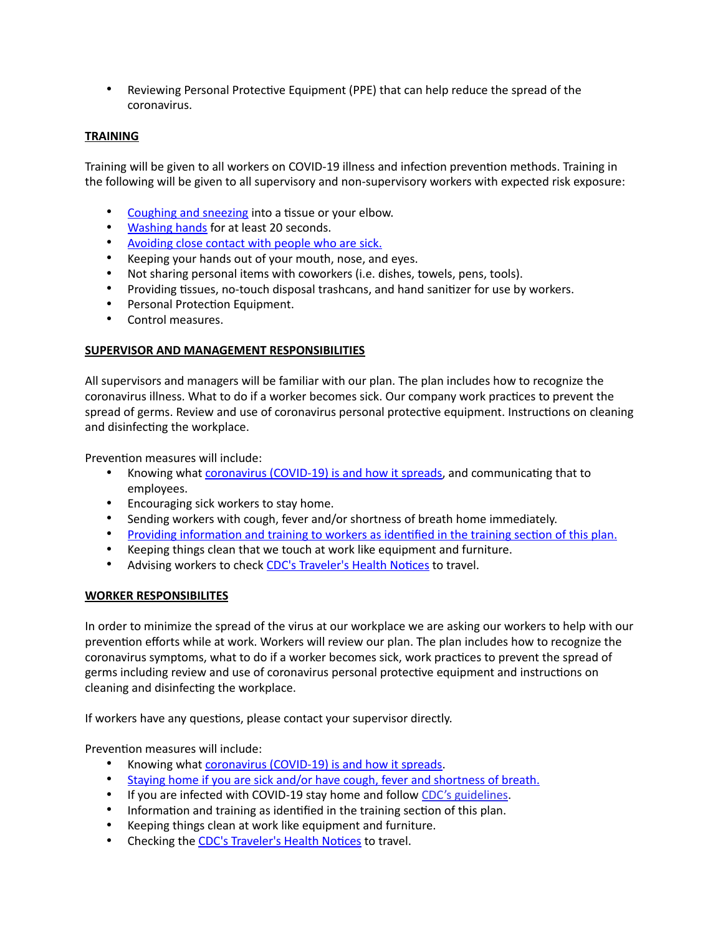• Reviewing Personal Protective Equipment (PPE) that can help reduce the spread of the coronavirus.

#### **TRAINING**

Training will be given to all workers on COVID-19 illness and infection prevention methods. Training in the following will be given to all supervisory and non-supervisory workers with expected risk exposure:

- [Coughing and sneezing](https://www.cdc.gov/flu/pdf/protect/cdc_cough.pdf) into a tissue or your elbow.
- **[Washing hands](https://www.cdc.gov/handwashing/pdf/wash-your-hands-poster-english-508.pdf) for at least 20 seconds.**
- [Avoiding close contact with people who are sick.](https://www.cdc.gov/coronavirus/2019-ncov/prevent-getting-sick/prevention-H.pdf)
- Keeping your hands out of your mouth, nose, and eyes.
- Not sharing personal items with coworkers (i.e. dishes, towels, pens, tools).
- Providing tissues, no-touch disposal trashcans, and hand sanitizer for use by workers.
- Personal Protection Equipment.
- Control measures.

#### **SUPERVISOR AND MANAGEMENT RESPONSIBILITIES**

All supervisors and managers will be familiar with our plan. The plan includes how to recognize the coronavirus illness. What to do if a worker becomes sick. Our company work practices to prevent the spread of germs. Review and use of coronavirus personal protective equipment. Instructions on cleaning and disinfecting the workplace.

Prevention measures will include:

- Knowing what [coronavirus \(COVID-19\) is and how it spreads,](https://www.cdc.gov/coronavirus/2019-ncov/images/social/covid19-symptoms-fb.png) and communicating that to employees.
- Encouraging sick workers to stay home.
- Sending workers with cough, fever and/or shortness of breath home immediately.
- Providing information and training to workers as identified in the training section of this plan.
- Keeping things clean that we touch at work like equipment and furniture.
- Advising workers to check CDC's Traveler's Health Notices to travel.

#### **WORKER RESPONSIBILITES**

In order to minimize the spread of the virus at our workplace we are asking our workers to help with our prevention efforts while at work. Workers will review our plan. The plan includes how to recognize the coronavirus symptoms, what to do if a worker becomes sick, work practices to prevent the spread of germs including review and use of coronavirus personal protective equipment and instructions on cleaning and disinfecting the workplace.

If workers have any questions, please contact your supervisor directly.

Prevention measures will include:

- Knowing what [coronavirus \(COVID-19\) is and how it spreads.](https://www.cdc.gov/coronavirus/2019-ncov/images/social/covid19-symptoms-fb.png)
- [Staying home if you are sick and/or have cough, fever and shortness of breath.](https://www.cdc.gov/coronavirus/2019-ncov/downloads/StayHomeFromWork_Horizontal.pdf)
- If you are infected with COVID-19 stay home and follow [CDC's guidelines](https://www.cdc.gov/coronavirus/2019-ncov/about/steps-when-sick.html).
- Information and training as identified in the training section of this plan.
- Keeping things clean at work like equipment and furniture.
- Checking the CDC's Traveler's Health Notices to travel.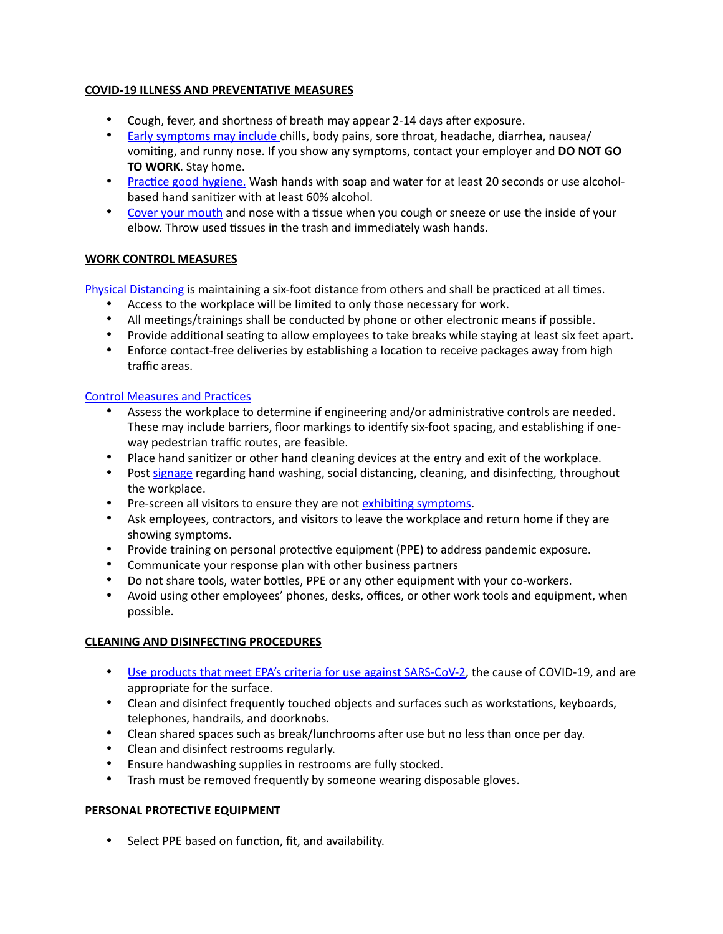# **COVID-19 ILLNESS AND PREVENTATIVE MEASURES**

- Cough, fever, and shortness of breath may appear 2-14 days after exposure.
- [Early symptoms may include](https://www.cdc.gov/coronavirus/2019-ncov/images/social/covid19-symptoms-fb.png) chills, body pains, sore throat, headache, diarrhea, nausea/ vomiting, and runny nose. If you show any symptoms, contact your employer and **DO NOT GO TO WORK**. Stay home.
- Practice good hygiene. Wash hands with soap and water for at least 20 seconds or use alcoholbased hand sanitizer with at least 60% alcohol.
- [Cover your mouth](https://www.cdc.gov/flu/pdf/protect/cdc_cough.pdf) and nose with a tissue when you cough or sneeze or use the inside of your elbow. Throw used tissues in the trash and immediately wash hands.

# **WORK CONTROL MEASURES**

[Physical Distancing](https://www.cdc.gov/coronavirus/2019-ncov/prevent-getting-sick/social-distancing.html) is maintaining a six-foot distance from others and shall be practiced at all times.

- Access to the workplace will be limited to only those necessary for work.
- All meetings/trainings shall be conducted by phone or other electronic means if possible.
- Provide additional seating to allow employees to take breaks while staying at least six feet apart.
- Enforce contact-free deliveries by establishing a location to receive packages away from high traffic areas.

#### Control Measures and Practices

- Assess the workplace to determine if engineering and/or administrative controls are needed. These may include barriers, floor markings to identify six-foot spacing, and establishing if oneway pedestrian traffic routes, are feasible.
- Place hand sanitizer or other hand cleaning devices at the entry and exit of the workplace.
- Post [signage](https://www.who.int/emergencies/diseases/novel-coronavirus-2019/advice-for-public) regarding hand washing, social distancing, cleaning, and disinfecting, throughout the workplace.
- Pre-screen all visitors to ensure they are not exhibiting symptoms.
- Ask employees, contractors, and visitors to leave the workplace and return home if they are showing symptoms.
- Provide training on personal protective equipment (PPE) to address pandemic exposure.
- Communicate your response plan with other business partners
- Do not share tools, water bottles, PPE or any other equipment with your co-workers.
- Avoid using other employees' phones, desks, offices, or other work tools and equipment, when possible.

#### **CLEANING AND DISINFECTING PROCEDURES**

- [Use products that meet EPA's criteria for use against SARS-CoV-2](https://www.epa.gov/pesticide-registration/list-n-disinfectants-use-against-sars-cov-2), the cause of COVID-19, and are appropriate for the surface.
- Clean and disinfect frequently touched objects and surfaces such as workstations, keyboards, telephones, handrails, and doorknobs.
- Clean shared spaces such as break/lunchrooms after use but no less than once per day.
- Clean and disinfect restrooms regularly.
- Ensure handwashing supplies in restrooms are fully stocked.
- Trash must be removed frequently by someone wearing disposable gloves.

# **PERSONAL PROTECTIVE EQUIPMENT**

• Select PPE based on function, fit, and availability.